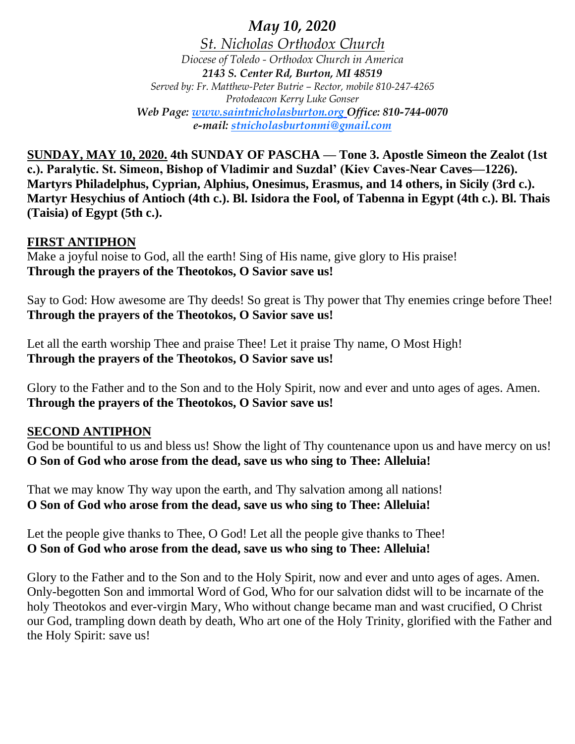*May 10, 2020 St. Nicholas Orthodox Church Diocese of Toledo - Orthodox Church in America 2143 S. Center Rd, Burton, MI 48519 Served by: Fr. Matthew-Peter Butrie – Rector, mobile 810-247-4265 Protodeacon Kerry Luke Gonser Web Page: www.saintnicholasburton.org Office: 810-744-0070 e-mail: stnicholasburtonmi@gmail.com*

**SUNDAY, MAY 10, 2020. 4th SUNDAY OF PASCHA — Tone 3. Apostle Simeon the Zealot (1st c.). Paralytic. St. Simeon, Bishop of Vladimir and Suzdal' (Kiev Caves-Near Caves—1226). Martyrs Philadelphus, Cyprian, Alphius, Onesimus, Erasmus, and 14 others, in Sicily (3rd c.). Martyr Hesychius of Antioch (4th c.). Bl. Isidora the Fool, of Tabenna in Egypt (4th c.). Bl. Thais (Taisia) of Egypt (5th c.).**

## **FIRST ANTIPHON**

Make a joyful noise to God, all the earth! Sing of His name, give glory to His praise! **Through the prayers of the Theotokos, O Savior save us!**

Say to God: How awesome are Thy deeds! So great is Thy power that Thy enemies cringe before Thee! **Through the prayers of the Theotokos, O Savior save us!**

Let all the earth worship Thee and praise Thee! Let it praise Thy name, O Most High! **Through the prayers of the Theotokos, O Savior save us!**

Glory to the Father and to the Son and to the Holy Spirit, now and ever and unto ages of ages. Amen. **Through the prayers of the Theotokos, O Savior save us!**

## **SECOND ANTIPHON**

God be bountiful to us and bless us! Show the light of Thy countenance upon us and have mercy on us! **O Son of God who arose from the dead, save us who sing to Thee: Alleluia!**

That we may know Thy way upon the earth, and Thy salvation among all nations! **O Son of God who arose from the dead, save us who sing to Thee: Alleluia!**

Let the people give thanks to Thee, O God! Let all the people give thanks to Thee! **O Son of God who arose from the dead, save us who sing to Thee: Alleluia!**

Glory to the Father and to the Son and to the Holy Spirit, now and ever and unto ages of ages. Amen. Only-begotten Son and immortal Word of God, Who for our salvation didst will to be incarnate of the holy Theotokos and ever-virgin Mary, Who without change became man and wast crucified, O Christ our God, trampling down death by death, Who art one of the Holy Trinity, glorified with the Father and the Holy Spirit: save us!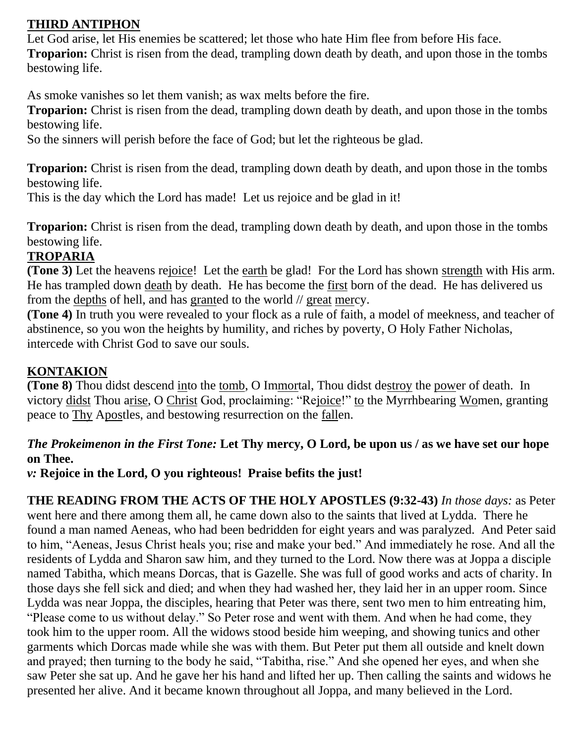## **THIRD ANTIPHON**

Let God arise, let His enemies be scattered; let those who hate Him flee from before His face. **Troparion:** Christ is risen from the dead, trampling down death by death, and upon those in the tombs bestowing life.

As smoke vanishes so let them vanish; as wax melts before the fire.

**Troparion:** Christ is risen from the dead, trampling down death by death, and upon those in the tombs bestowing life.

So the sinners will perish before the face of God; but let the righteous be glad.

**Troparion:** Christ is risen from the dead, trampling down death by death, and upon those in the tombs bestowing life.

This is the day which the Lord has made! Let us rejoice and be glad in it!

**Troparion:** Christ is risen from the dead, trampling down death by death, and upon those in the tombs bestowing life.

## **TROPARIA**

**(Tone 3)** Let the heavens rejoice! Let the earth be glad! For the Lord has shown strength with His arm. He has trampled down death by death. He has become the first born of the dead. He has delivered us from the depths of hell, and has granted to the world // great mercy.

**(Tone 4)** In truth you were revealed to your flock as a rule of faith, a model of meekness, and teacher of abstinence, so you won the heights by humility, and riches by poverty, O Holy Father Nicholas, intercede with Christ God to save our souls.

## **KONTAKION**

**(Tone 8)** Thou didst descend into the tomb, O Immortal, Thou didst destroy the power of death. In victory didst Thou arise, O Christ God, proclaiming: "Rejoice!" to the Myrrhbearing Women, granting peace to Thy Apostles, and bestowing resurrection on the fallen.

## *The Prokeimenon in the First Tone:* **Let Thy mercy, O Lord, be upon us / as we have set our hope on Thee.**

*v:* **Rejoice in the Lord, O you righteous! Praise befits the just!**

**THE READING FROM THE ACTS OF THE HOLY APOSTLES (9:32-43)** *In those days:* as Peter went here and there among them all, he came down also to the saints that lived at Lydda. There he found a man named Aeneas, who had been bedridden for eight years and was paralyzed. And Peter said to him, "Aeneas, Jesus Christ heals you; rise and make your bed." And immediately he rose. And all the residents of Lydda and Sharon saw him, and they turned to the Lord. Now there was at Joppa a disciple named Tabitha, which means Dorcas, that is Gazelle. She was full of good works and acts of charity. In those days she fell sick and died; and when they had washed her, they laid her in an upper room. Since Lydda was near Joppa, the disciples, hearing that Peter was there, sent two men to him entreating him, "Please come to us without delay." So Peter rose and went with them. And when he had come, they took him to the upper room. All the widows stood beside him weeping, and showing tunics and other garments which Dorcas made while she was with them. But Peter put them all outside and knelt down and prayed; then turning to the body he said, "Tabitha, rise." And she opened her eyes, and when she saw Peter she sat up. And he gave her his hand and lifted her up. Then calling the saints and widows he presented her alive. And it became known throughout all Joppa, and many believed in the Lord.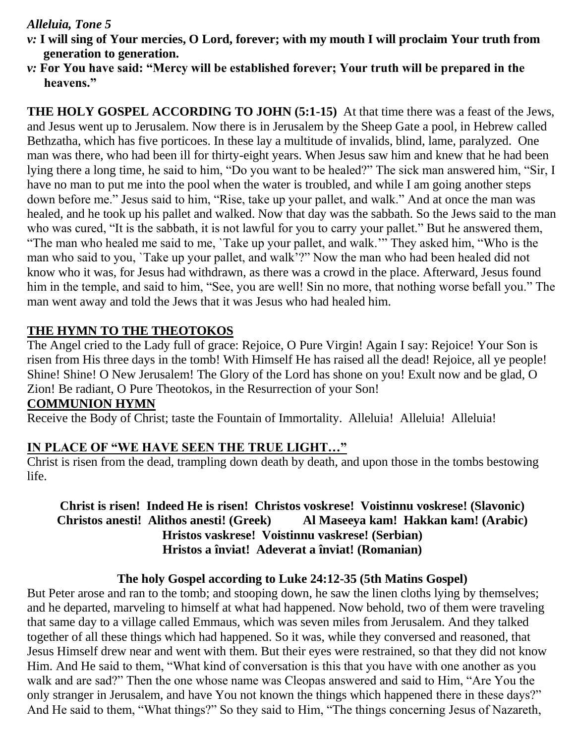## *Alleluia, Tone 5*

- *v:* **I will sing of Your mercies, O Lord, forever; with my mouth I will proclaim Your truth from generation to generation.**
- *v:* **For You have said: "Mercy will be established forever; Your truth will be prepared in the heavens."**

**THE HOLY GOSPEL ACCORDING TO JOHN (5:1-15)** At that time there was a feast of the Jews, and Jesus went up to Jerusalem. Now there is in Jerusalem by the Sheep Gate a pool, in Hebrew called Bethzatha, which has five porticoes. In these lay a multitude of invalids, blind, lame, paralyzed. One man was there, who had been ill for thirty-eight years. When Jesus saw him and knew that he had been lying there a long time, he said to him, "Do you want to be healed?" The sick man answered him, "Sir, I have no man to put me into the pool when the water is troubled, and while I am going another steps down before me." Jesus said to him, "Rise, take up your pallet, and walk." And at once the man was healed, and he took up his pallet and walked. Now that day was the sabbath. So the Jews said to the man who was cured, "It is the sabbath, it is not lawful for you to carry your pallet." But he answered them, "The man who healed me said to me, `Take up your pallet, and walk.'" They asked him, "Who is the man who said to you, `Take up your pallet, and walk'?" Now the man who had been healed did not know who it was, for Jesus had withdrawn, as there was a crowd in the place. Afterward, Jesus found him in the temple, and said to him, "See, you are well! Sin no more, that nothing worse befall you." The man went away and told the Jews that it was Jesus who had healed him.

## **THE HYMN TO THE THEOTOKOS**

The Angel cried to the Lady full of grace: Rejoice, O Pure Virgin! Again I say: Rejoice! Your Son is risen from His three days in the tomb! With Himself He has raised all the dead! Rejoice, all ye people! Shine! Shine! O New Jerusalem! The Glory of the Lord has shone on you! Exult now and be glad, O Zion! Be radiant, O Pure Theotokos, in the Resurrection of your Son!

## **COMMUNION HYMN**

Receive the Body of Christ; taste the Fountain of Immortality. Alleluia! Alleluia! Alleluia!

## **IN PLACE OF "WE HAVE SEEN THE TRUE LIGHT…"**

Christ is risen from the dead, trampling down death by death, and upon those in the tombs bestowing life.

## **Christ is risen! Indeed He is risen! Christos voskrese! Voistinnu voskrese! (Slavonic) Christos anesti! Alithos anesti! (Greek) Al Maseeya kam! Hakkan kam! (Arabic) Hristos vaskrese! Voistinnu vaskrese! (Serbian) Hristos a înviat! Adeverat a înviat! (Romanian)**

## **The holy Gospel according to Luke 24:12-35 (5th Matins Gospel)**

But Peter arose and ran to the tomb; and stooping down, he saw the linen cloths lying by themselves; and he departed, marveling to himself at what had happened. Now behold, two of them were traveling that same day to a village called Emmaus, which was seven miles from Jerusalem. And they talked together of all these things which had happened. So it was, while they conversed and reasoned, that Jesus Himself drew near and went with them. But their eyes were restrained, so that they did not know Him. And He said to them, "What kind of conversation is this that you have with one another as you walk and are sad?" Then the one whose name was Cleopas answered and said to Him, "Are You the only stranger in Jerusalem, and have You not known the things which happened there in these days?" And He said to them, "What things?" So they said to Him, "The things concerning Jesus of Nazareth,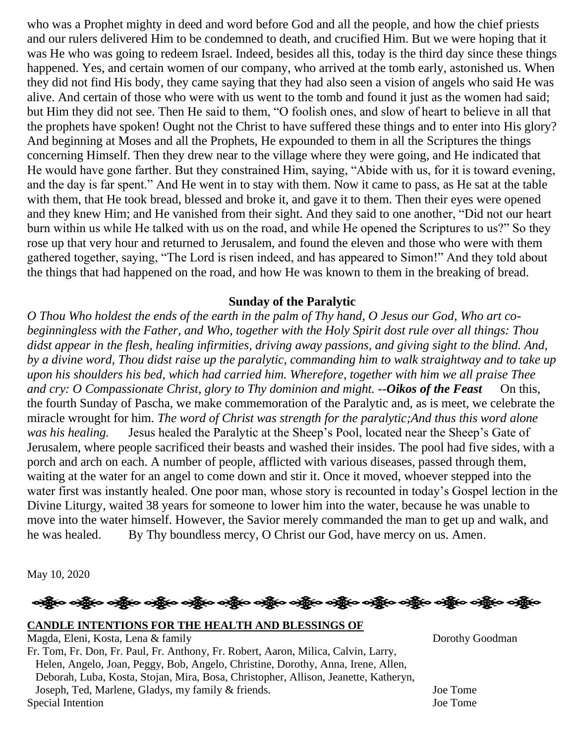who was a Prophet mighty in deed and word before God and all the people, and how the chief priests and our rulers delivered Him to be condemned to death, and crucified Him. But we were hoping that it was He who was going to redeem Israel. Indeed, besides all this, today is the third day since these things happened. Yes, and certain women of our company, who arrived at the tomb early, astonished us. When they did not find His body, they came saying that they had also seen a vision of angels who said He was alive. And certain of those who were with us went to the tomb and found it just as the women had said; but Him they did not see. Then He said to them, "O foolish ones, and slow of heart to believe in all that the prophets have spoken! Ought not the Christ to have suffered these things and to enter into His glory? And beginning at Moses and all the Prophets, He expounded to them in all the Scriptures the things concerning Himself. Then they drew near to the village where they were going, and He indicated that He would have gone farther. But they constrained Him, saying, "Abide with us, for it is toward evening, and the day is far spent." And He went in to stay with them. Now it came to pass, as He sat at the table with them, that He took bread, blessed and broke it, and gave it to them. Then their eyes were opened and they knew Him; and He vanished from their sight. And they said to one another, "Did not our heart burn within us while He talked with us on the road, and while He opened the Scriptures to us?" So they rose up that very hour and returned to Jerusalem, and found the eleven and those who were with them gathered together, saying, "The Lord is risen indeed, and has appeared to Simon!" And they told about the things that had happened on the road, and how He was known to them in the breaking of bread.

### **Sunday of the Paralytic**

*O Thou Who holdest the ends of the earth in the palm of Thy hand, O Jesus our God, Who art cobeginningless with the Father, and Who, together with the Holy Spirit dost rule over all things: Thou didst appear in the flesh, healing infirmities, driving away passions, and giving sight to the blind. And, by a divine word, Thou didst raise up the paralytic, commanding him to walk straightway and to take up upon his shoulders his bed, which had carried him. Wherefore, together with him we all praise Thee and cry: O Compassionate Christ, glory to Thy dominion and might. --Oikos of the Feast* On this, the fourth Sunday of Pascha, we make commemoration of the Paralytic and, as is meet, we celebrate the miracle wrought for him. *The word of Christ was strength for the paralytic;And thus this word alone was his healing.* Jesus healed the Paralytic at the Sheep's Pool, located near the Sheep's Gate of Jerusalem, where people sacrificed their beasts and washed their insides. The pool had five sides, with a porch and arch on each. A number of people, afflicted with various diseases, passed through them, waiting at the water for an angel to come down and stir it. Once it moved, whoever stepped into the water first was instantly healed. One poor man, whose story is recounted in today's Gospel lection in the Divine Liturgy, waited 38 years for someone to lower him into the water, because he was unable to move into the water himself. However, the Savior merely commanded the man to get up and walk, and he was healed. By Thy boundless mercy, O Christ our God, have mercy on us. Amen.

May 10, 2020



#### **CANDLE INTENTIONS FOR THE HEALTH AND BLESSINGS OF**

Magda, Eleni, Kosta, Lena & family Dorothy Goodman Fr. Tom, Fr. Don, Fr. Paul, Fr. Anthony, Fr. Robert, Aaron, Milica, Calvin, Larry, Helen, Angelo, Joan, Peggy, Bob, Angelo, Christine, Dorothy, Anna, Irene, Allen, Deborah, Luba, Kosta, Stojan, Mira, Bosa, Christopher, Allison, Jeanette, Katheryn, Joseph, Ted, Marlene, Gladys, my family & friends. Joe Tome Special Intention Joe Tome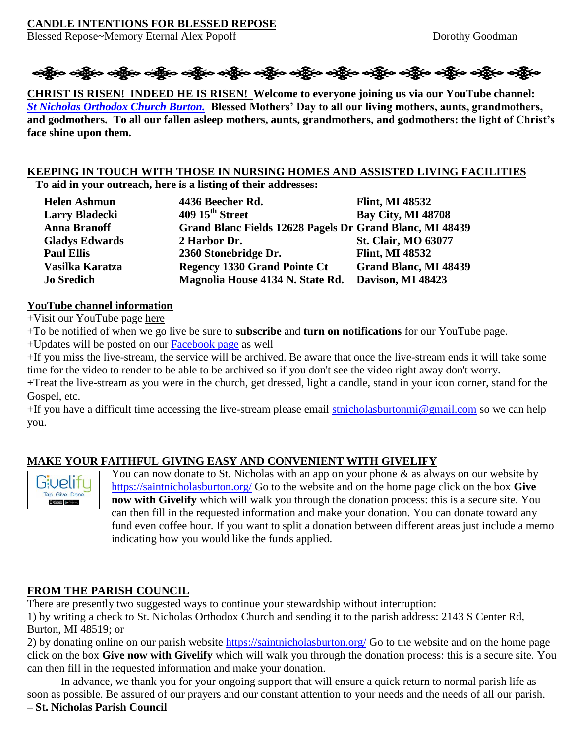### **CANDLE INTENTIONS FOR BLESSED REPOSE**

Blessed Repose~Memory Eternal Alex Popoff Dorothy Goodman



**CHRIST IS RISEN! INDEED HE IS RISEN! Welcome to everyone joining us via our YouTube channel:**  *[St Nicholas Orthodox Church Burton.](https://www.youtube.com/channel/UC59tV-Re443z-GCoETAUvfA)* **Blessed Mothers' Day to all our living mothers, aunts, grandmothers, and godmothers. To all our fallen asleep mothers, aunts, grandmothers, and godmothers: the light of Christ's face shine upon them.**

# **KEEPING IN TOUCH WITH THOSE IN NURSING HOMES AND ASSISTED LIVING FACILITIES**

**To aid in your outreach, here is a listing of their addresses:**

| <b>Helen Ashmun</b>   | 4436 Beecher Rd.                                         | <b>Flint, MI 48532</b>       |
|-----------------------|----------------------------------------------------------|------------------------------|
| <b>Larry Bladecki</b> | 409 15 <sup>th</sup> Street                              | <b>Bay City, MI 48708</b>    |
| <b>Anna Branoff</b>   | Grand Blanc Fields 12628 Pagels Dr Grand Blanc, MI 48439 |                              |
| <b>Gladys Edwards</b> | 2 Harbor Dr.                                             | <b>St. Clair, MO 63077</b>   |
| <b>Paul Ellis</b>     | 2360 Stonebridge Dr.                                     | <b>Flint, MI 48532</b>       |
| Vasilka Karatza       | <b>Regency 1330 Grand Pointe Ct</b>                      | <b>Grand Blanc, MI 48439</b> |
| <b>Jo Sredich</b>     | Magnolia House 4134 N. State Rd.                         | Davison, MI 48423            |

### **YouTube channel information**

+Visit our YouTube page [here](https://www.youtube.com/channel/UC59tV-Re443z-GCoETAUvfA)

+To be notified of when we go live be sure to **subscribe** and **turn on notifications** for our YouTube page.

+Updates will be posted on our [Facebook page](https://www.facebook.com/stnicholasburton/) as well

+If you miss the live-stream, the service will be archived. Be aware that once the live-stream ends it will take some time for the video to render to be able to be archived so if you don't see the video right away don't worry.

+Treat the live-stream as you were in the church, get dressed, light a candle, stand in your icon corner, stand for the Gospel, etc.

+If you have a difficult time accessing the live-stream please email [stnicholasburtonmi@gmail.com](mailto:stnicholasburtonmi@gmail.com) so we can help you.

## **MAKE YOUR FAITHFUL GIVING EASY AND CONVENIENT WITH GIVELIFY**



You can now donate to St. Nicholas with an app on your phone  $\&$  as always on our website by <https://saintnicholasburton.org/> Go to the website and on the home page click on the box **Give now with Givelify** which will walk you through the donation process: this is a secure site. You can then fill in the requested information and make your donation. You can donate toward any fund even coffee hour. If you want to split a donation between different areas just include a memo indicating how you would like the funds applied.

### **FROM THE PARISH COUNCIL**

There are presently two suggested ways to continue your stewardship without interruption:

1) by writing a check to St. Nicholas Orthodox Church and sending it to the parish address: 2143 S Center Rd, Burton, MI 48519; or

2) by donating online on our parish website <https://saintnicholasburton.org/> Go to the website and on the home page click on the box **Give now with Givelify** which will walk you through the donation process: this is a secure site. You can then fill in the requested information and make your donation.

In advance, we thank you for your ongoing support that will ensure a quick return to normal parish life as soon as possible. Be assured of our prayers and our constant attention to your needs and the needs of all our parish. **– St. Nicholas Parish Council**